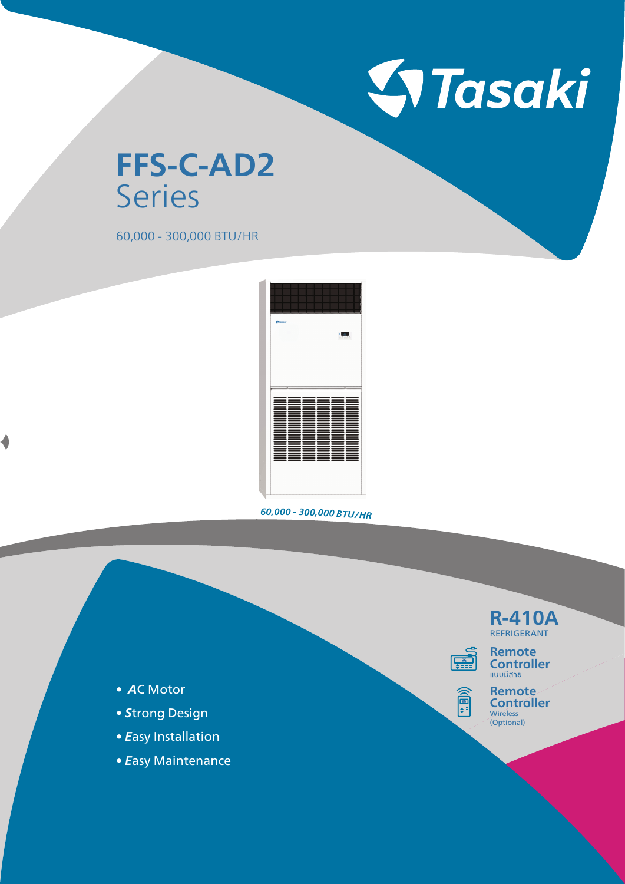

## **FFS-C-AD2** Series

60,000 - 300,000 BTU/HR



*<sup>6</sup>0,00<sup>0</sup> - <sup>3</sup>00,0<sup>00</sup> <sup>B</sup>TU/H<sup>R</sup>*

**R-410A** REFRIGERANT **Remote** 



《副

**Remote Controller Wireless** (Optional)

- *A*C Motor
- *S*trong Design
- *E*asy Installation
- *E*asy Maintenance